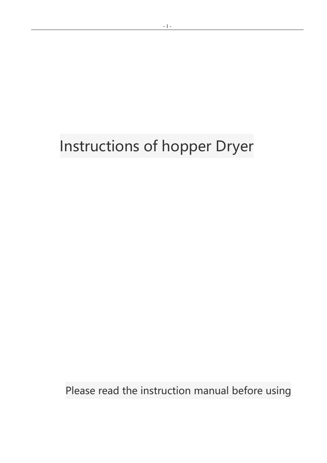# Instructions of hopper Dryer

Please read the instruction manual before using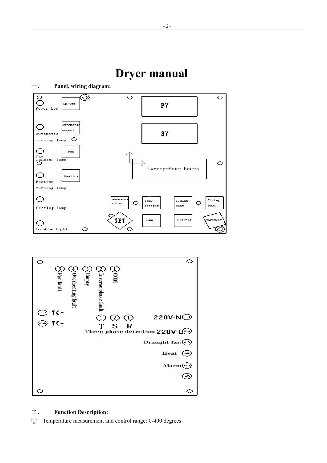



#### 二、 **Function Description:**

1. Temperature measurement and control range: 0-400 degrees

## **Dryer manual**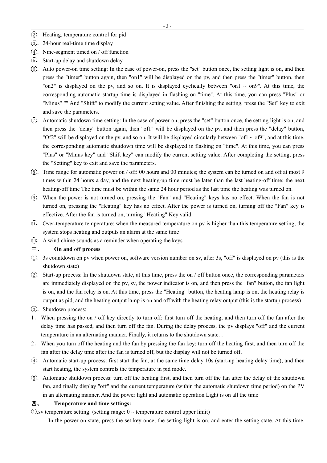- $(2)$ . Heating, temperature control for pid
- 3. 24-hour real-time time display
- $(4)$ . Nine-segment timed on / off function
- (5). Start-up delay and shutdown delay
- 6 .Auto power-on time setting: In the case of power-on, press the "set" button once, the setting light is on, and then press the "timer" button again, then "on1" will be displayed on the pv, and then press the "timer" button, then "on2" is displayed on the pv, and so on. It is displayed cyclically between "on1  $\sim$  on9". At this time, the corresponding automatic startup time is displayed in flashing on "time". At this time, you can press "Plus" or "Minus" "" And "Shift" to modify the current setting value. After finishing the setting, press the "Set" key to exit and save the parameters.
- $(7)$ . Automatic shutdown time setting: In the case of power-on, press the "set" button once, the setting light is on, and then press the "delay" button again, then "of1" will be displayed on the pv, and then press the "delay" button, "Of2" will be displayed on the pv, and so on. It will be displayed circularly between "of1  $\sim$  of9", and at this time, the corresponding automatic shutdown time will be displayed in flashing on "time". At this time, you can press "Plus" or "Minus key" and "Shift key" can modify the current setting value. After completing the setting, press the "Setting" key to exit and save the parameters.
- $(8)$ . Time range for automatic power on / off: 00 hours and 00 minutes; the system can be turned on and off at most 9 times within 24 hours a day, and the next heating-up time must be later than the last heating-off time; the next heating-off time The time must be within the same 24 hour period as the last time the heating was turned on.
- 9 .When the power is not turned on, pressing the "Fan" and "Heating" keys has no effect. When the fan is not turned on, pressing the "Heating" key has no effect. After the power is turned on, turning off the "Fan" key is effective. After the fan is turned on, turning "Heating" Key valid
- 10.Over-temperature temperature: when the measured temperature on pv is higher than this temperature setting, the system stops heating and outputs an alarm at the same time
- 11.A wind chime sounds as a reminder when operating the keys

#### 三、 **On and off process**

- $(1)$ . 3s countdown on pv when power on, software version number on sv, after 3s, "off" is displayed on pv (this is the shutdown state)
- 2 .Start-up process: In the shutdown state, at this time, press the on / off button once, the corresponding parameters are immediately displayed on the pv, sv, the power indicator is on, and then press the "fan" button, the fan light is on, and the fan relay is on. At this time, press the "Heating" button, the heating lamp is on, the heating relay is output as pid, and the heating output lamp is on and offwith the heating relay output (this is the startup process)
- 3. Shutdown process:
- 1. When pressing the on / off key directly to turn off: first turn off the heating, and then turn off the fan after the delay time has passed, and then turn off the fan. During the delay process, the pv displays "off" and the current temperature in an alternating manner. Finally, it returns to the shutdown state. .
- 2. When you turn off the heating and the fan by pressing the fan key: turn off the heating first, and then turn off the fan after the delay time after the fan is turned off, but the display will not be turned off.
- $(4)$ . Automatic start-up process: first start the fan, at the same time delay 10s (start-up heating delay time), and then start heating, the system controls the temperature in pid mode.
- 5 .Automatic shutdown process: turn off the heating first, and then turn off the fan after the delay of the shutdown fan, and finally display "off" and the current temperature (within the automatic shutdown time period) on the PV in an alternating manner. And the power light and automatic operation Light is on all the time

#### 四、 **Temperature and timesettings:**

 $\Omega$ .sv temperature setting: (setting range:  $0 \sim$  temperature control upper limit)

In the power-on state, press the set key once, the setting light is on, and enter the setting state. At this time,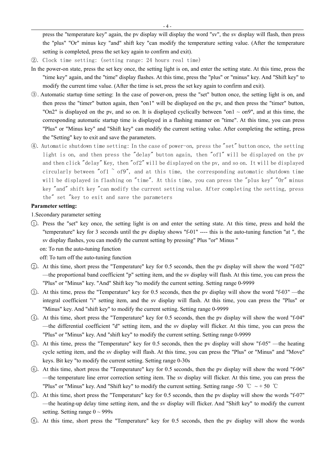press the "temperature key" again, the pv display will display the word "sv", the sv display will flash, then press the "plus" "Or" minus key "and" shift key "can modify the temperature setting value. (After the temperature setting is completed, press the set key again to confirm and exit).

- ②. Clock time setting: (setting range: 24 hours real time)
- In the power-on state, press the set key once, the setting light is on, and enter the setting state. At this time, press the "time key" again, and the "time" display flashes. At this time, press the "plus" or "minus" key. And "Shift key" to modify the current time value. (After the time is set, press the set key again to confirm and exit).
- ③. Automatic startup time setting: In the case of power-on, press the "set" button once, the setting light is on, and then press the "timer" button again, then "on1" will be displayed on the pv, and then press the "timer" button, "On2" is displayed on the pv, and so on. It is displayed cyclically between "on1  $\sim$  on9", and at this time, the corresponding automatic startup time is displayed in a flashing manner on "time". At this time, you can press "Plus" or "Minus key" and "Shift key" can modify the current setting value. After completing the setting, press the "Setting" key to exit and save the parameters.
- ④. Automatic shutdown time setting: In the case of power-on, press the "set" button once, the setting light is on, and then press the "delay" button again, then "of1" will be displayed on the pv and then click "delay" Key, then "of2" will be displayed on the pv, and so on. It will be displayed circularly between "of1  $\degree$  of9", and at this time, the corresponding automatic shutdown time will be displayed in flashing on "time". At this time, you can press the "plus key" "Or" minus key "and" shift key "can modify the current setting value. After completing the setting, press the" set "key to exit and save the parameters

#### **Parameter setting:**

1.Secondary parameter setting

1 .Press the "set" key once, the setting light is on and enter the setting state. At this time, press and hold the "temperature" key for 3 seconds until the pv display shows "f-01" ---- this is the auto-tuning function "at ", the sv display flashes, you can modify the current setting by pressing" Plus "or" Minus "

on: To run the auto-tuning function

off: To turn off the auto-tuning function

- 2 .At this time, short press the "Temperature" key for 0.5 seconds, then the pv display will show the word "f-02" —the proportional band coefficient "p" setting item, and the sv display will flash. At this time, you can press the "Plus" or "Minus" key. "And" Shift key "to modify the current setting. Setting range 0-9999
- 3 .At this time, press the "Temperature" key for 0.5 seconds, then the pv display will show the word "f-03" —the integral coefficient "i" setting item, and the sv display will flash. At this time, you can press the "Plus" or "Minus" key. And "shift key" to modify the current setting. Setting range 0-9999
- 4 .At this time, short press the "Temperature" key for 0.5 seconds, then the pv display will show the word "f-04" —the differential coefficient "d" setting item, and the sv display will flicker. At this time, you can press the "Plus" or "Minus" key. And "shift key" to modify the current setting. Setting range 0-9999
- 5 .At this time, press the "Temperature" key for 0.5 seconds, then the pv display will show "f-05" —the heating cycle setting item, and the sv display will flash. At this time, you can press the "Plus" or "Minus" and "Move" keys. Bit key "to modify the current setting. Setting range 0-30s
- 6 .At this time, short press the "Temperature" key for 0.5 seconds, then the pv display will show the word "f-06" —the temperature line error correction setting item. The sv display will flicker. At this time, you can press the "Plus" or "Minus" key. And "Shift key" to modify the current setting. Setting range -50 °C ~ + 50 °C
- $(7)$ . At this time, short press the "Temperature" key for 0.5 seconds, then the pv display will show the words "f-07" —the heating-up delay time setting item, and the sv display will flicker. And "Shift key" to modify the current setting. Setting range  $0 \sim 999s$
- 8 .At this time, short press the "Temperature" key for 0.5 seconds, then the pv display will show the words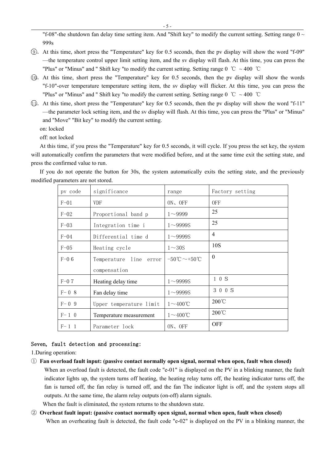"f-08"-the shutdown fan delay time setting item. And "Shift key" to modify the current setting. Setting range  $0 \sim$ 999s

- 9 .At this time, short press the "Temperature" key for 0.5 seconds, then the pv display will show the word "f-09" —the temperature control upper limit setting item, and the sv display will flash. At this time, you can press the "Plus" or "Minus" and " Shift key "to modify the current setting. Setting range  $0^{\circ}$ C ~ 400  $^{\circ}$ C
- 10.At this time, short press the "Temperature" key for 0.5 seconds, then the pv display will show the words "f-10"-over temperature temperature setting item, the sv display will flicker. At this time, you can press the "Plus" or "Minus" and " Shift key "to modify the current setting. Setting range 0 ℃ ~ 400 ℃
- 11.At this time, short press the "Temperature" key for 0.5 seconds, then the pv display will show the word "f-11" —the parameter lock setting item, and the sv display will flash. At this time, you can press the "Plus" or "Minus" and "Move" "Bit key" to modify the current setting.
	- on: locked
	- off: not locked

At this time, if you press the "Temperature" key for 0.5 seconds, it will cycle. If you press the set key, the system will automatically confirm the parameters that were modified before, and at the same time exit the setting state, and press the confirmed value to run.

If you do not operate the button for 30s, the system automatically exits the setting state, and the previously modified parameters are not stored.

| pv code   | significance              | range                                        | Factory setting |
|-----------|---------------------------|----------------------------------------------|-----------------|
| $F-01$    | <b>VDF</b>                | ON、OFF                                       | <b>OFF</b>      |
| $F-02$    | Proportional band p       | $1 - 9999$                                   | 25              |
| $F-03$    | Integration time i        | $1 \sim 99995$                               | 25              |
| $F=04$    | Differential time d       | $1 \sim 999995$                              | $\overline{4}$  |
| $F-05$    | Heating cycle             | $1\sim30S$                                   | 10S             |
| $F-06$    | line error<br>Temperature | $-50^{\circ}\text{C}\sim+50^{\circ}\text{C}$ | $\theta$        |
|           | compensation              |                                              |                 |
| $F-07$    | Heating delay time        | $1 - 99995$                                  | 10S             |
| $F - 0.8$ | Fan delay time            | $1 - 99995$                                  | 3 0 0 S         |
| $F - 0.9$ | Upper temperature limit   | $1 \sim 400$ °C                              | $200^{\circ}$ C |
| $F-1$ 0   | Temperature measurement   | $1 \sim 400$ °C                              | 200°C           |
| $F-1$ 1   | Parameter lock            | ON, OFF                                      | <b>OFF</b>      |

#### Seven, fault detection and processing:

1.During operation:

- ① **Fan overload fault input: (passive contact normally open signal, normal when open, fault when closed)** When an overload fault is detected, the fault code "e-01" is displayed on the PV in a blinking manner, the fault indicator lights up, the system turns off heating, the heating relay turns off, the heating indicator turns off, the fan is turned off, the fan relay is turned off, and the fan The indicator light is off, and the system stops all outputs. At the same time, the alarm relay outputs (on-off) alarm signals.
	- When the fault is eliminated, the system returns to the shutdown state.
- ② **Overheat fault input: (passive contact normally open signal, normal when open, fault when closed)** When an overheating fault is detected, the fault code "e-02" is displayed on the PV in a blinking manner, the